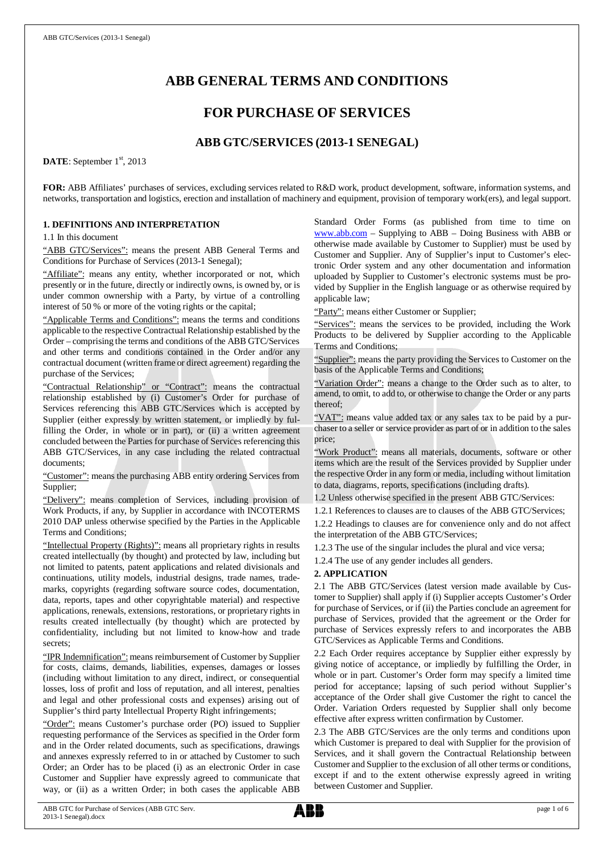# **ABB GENERAL TERMS AND CONDITIONS**

## **FOR PURCHASE OF SERVICES**

## **ABB GTC/SERVICES (2013-1 SENEGAL)**

DATE: September 1<sup>st</sup>, 2013

**FOR:** ABB Affiliates' purchases of services, excluding services related to R&D work, product development, software, information systems, and networks, transportation and logistics, erection and installation of machinery and equipment, provision of temporary work(ers), and legal support.

## **1. DEFINITIONS AND INTERPRETATION**

1.1 In this document

"ABB GTC/Services": means the present ABB General Terms and Conditions for Purchase of Services (2013-1 Senegal);

"Affiliate": means any entity, whether incorporated or not, which presently or in the future, directly or indirectly owns, is owned by, or is under common ownership with a Party, by virtue of a controlling interest of 50 % or more of the voting rights or the capital;

"Applicable Terms and Conditions": means the terms and conditions applicable to the respective Contractual Relationship established by the Order – comprising the terms and conditions of the ABB GTC/Services and other terms and conditions contained in the Order and/or any contractual document (written frame or direct agreement) regarding the purchase of the Services;

"Contractual Relationship" or "Contract": means the contractual relationship established by (i) Customer's Order for purchase of Services referencing this ABB GTC/Services which is accepted by Supplier (either expressly by written statement, or impliedly by fulfilling the Order, in whole or in part), or (ii) a written agreement concluded between the Parties for purchase of Services referencing this ABB GTC/Services, in any case including the related contractual documents;

"Customer": means the purchasing ABB entity ordering Services from Supplier;

"Delivery": means completion of Services, including provision of Work Products, if any, by Supplier in accordance with INCOTERMS 2010 DAP unless otherwise specified by the Parties in the Applicable Terms and Conditions;

"Intellectual Property (Rights)": means all proprietary rights in results created intellectually (by thought) and protected by law, including but not limited to patents, patent applications and related divisionals and continuations, utility models, industrial designs, trade names, trademarks, copyrights (regarding software source codes, documentation, data, reports, tapes and other copyrightable material) and respective applications, renewals, extensions, restorations, or proprietary rights in results created intellectually (by thought) which are protected by confidentiality, including but not limited to know-how and trade secrets;

"IPR Indemnification": means reimbursement of Customer by Supplier for costs, claims, demands, liabilities, expenses, damages or losses (including without limitation to any direct, indirect, or consequential losses, loss of profit and loss of reputation, and all interest, penalties and legal and other professional costs and expenses) arising out of Supplier's third party Intellectual Property Right infringements;

"Order": means Customer's purchase order (PO) issued to Supplier requesting performance of the Services as specified in the Order form and in the Order related documents, such as specifications, drawings and annexes expressly referred to in or attached by Customer to such Order; an Order has to be placed (i) as an electronic Order in case Customer and Supplier have expressly agreed to communicate that way, or (ii) as a written Order; in both cases the applicable ABB

Standard Order Forms (as published from time to time on [www.abb.com](http://www.abb.com/) – Supplying to ABB – Doing Business with ABB or otherwise made available by Customer to Supplier) must be used by Customer and Supplier. Any of Supplier's input to Customer's electronic Order system and any other documentation and information uploaded by Supplier to Customer's electronic systems must be provided by Supplier in the English language or as otherwise required by applicable law;

"Party": means either Customer or Supplier;

"Services": means the services to be provided, including the Work Products to be delivered by Supplier according to the Applicable Terms and Conditions;

"Supplier": means the party providing the Services to Customer on the basis of the Applicable Terms and Conditions;

"Variation Order": means a change to the Order such as to alter, to amend, to omit, to add to, or otherwise to change the Order or any parts thereof;

"VAT": means value added tax or any sales tax to be paid by a purchaser to a seller or service provider as part of or in addition to the sales price;

"Work Product": means all materials, documents, software or other items which are the result of the Services provided by Supplier under the respective Order in any form or media, including without limitation to data, diagrams, reports, specifications (including drafts).

1.2 Unless otherwise specified in the present ABB GTC/Services:

1.2.1 References to clauses are to clauses of the ABB GTC/Services; 1.2.2 Headings to clauses are for convenience only and do not affect the interpretation of the ABB GTC/Services;

1.2.3 The use of the singular includes the plural and vice versa;

1.2.4 The use of any gender includes all genders.

## **2. APPLICATION**

2.1 The ABB GTC/Services (latest version made available by Customer to Supplier) shall apply if (i) Supplier accepts Customer's Order for purchase of Services, or if (ii) the Parties conclude an agreement for purchase of Services, provided that the agreement or the Order for purchase of Services expressly refers to and incorporates the ABB GTC/Services as Applicable Terms and Conditions.

2.2 Each Order requires acceptance by Supplier either expressly by giving notice of acceptance, or impliedly by fulfilling the Order, in whole or in part. Customer's Order form may specify a limited time period for acceptance; lapsing of such period without Supplier's acceptance of the Order shall give Customer the right to cancel the Order. Variation Orders requested by Supplier shall only become effective after express written confirmation by Customer.

2.3 The ABB GTC/Services are the only terms and conditions upon which Customer is prepared to deal with Supplier for the provision of Services, and it shall govern the Contractual Relationship between Customer and Supplier to the exclusion of all other terms or conditions, except if and to the extent otherwise expressly agreed in writing between Customer and Supplier.

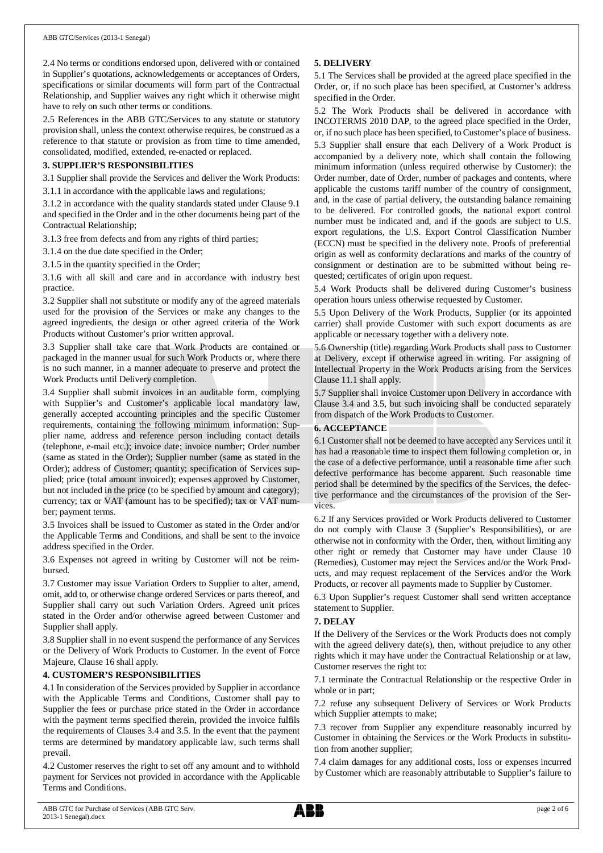2.4 No terms or conditions endorsed upon, delivered with or contained in Supplier's quotations, acknowledgements or acceptances of Orders, specifications or similar documents will form part of the Contractual Relationship, and Supplier waives any right which it otherwise might have to rely on such other terms or conditions.

2.5 References in the ABB GTC/Services to any statute or statutory provision shall, unless the context otherwise requires, be construed as a reference to that statute or provision as from time to time amended, consolidated, modified, extended, re-enacted or replaced.

## **3. SUPPLIER'S RESPONSIBILITIES**

3.1 Supplier shall provide the Services and deliver the Work Products: 3.1.1 in accordance with the applicable laws and regulations;

3.1.2 in accordance with the quality standards stated under Clause 9.1 and specified in the Order and in the other documents being part of the

Contractual Relationship; 3.1.3 free from defects and from any rights of third parties;

3.1.4 on the due date specified in the Order;

3.1.5 in the quantity specified in the Order;

3.1.6 with all skill and care and in accordance with industry best practice.

3.2 Supplier shall not substitute or modify any of the agreed materials used for the provision of the Services or make any changes to the agreed ingredients, the design or other agreed criteria of the Work Products without Customer's prior written approval.

3.3 Supplier shall take care that Work Products are contained or packaged in the manner usual for such Work Products or, where there is no such manner, in a manner adequate to preserve and protect the Work Products until Delivery completion.

3.4 Supplier shall submit invoices in an auditable form, complying with Supplier's and Customer's applicable local mandatory law, generally accepted accounting principles and the specific Customer requirements, containing the following minimum information: Supplier name, address and reference person including contact details (telephone, e-mail etc.); invoice date; invoice number; Order number (same as stated in the Order); Supplier number (same as stated in the Order); address of Customer; quantity; specification of Services supplied; price (total amount invoiced); expenses approved by Customer, but not included in the price (to be specified by amount and category); currency; tax or VAT (amount has to be specified); tax or VAT number; payment terms.

3.5 Invoices shall be issued to Customer as stated in the Order and/or the Applicable Terms and Conditions, and shall be sent to the invoice address specified in the Order.

3.6 Expenses not agreed in writing by Customer will not be reimbursed.

3.7 Customer may issue Variation Orders to Supplier to alter, amend, omit, add to, or otherwise change ordered Services or parts thereof, and Supplier shall carry out such Variation Orders. Agreed unit prices stated in the Order and/or otherwise agreed between Customer and Supplier shall apply.

3.8 Supplier shall in no event suspend the performance of any Services or the Delivery of Work Products to Customer. In the event of Force Majeure, Clause 16 shall apply.

## **4. CUSTOMER'S RESPONSIBILITIES**

4.1 In consideration of the Services provided by Supplier in accordance with the Applicable Terms and Conditions, Customer shall pay to Supplier the fees or purchase price stated in the Order in accordance with the payment terms specified therein, provided the invoice fulfils the requirements of Clauses 3.4 and 3.5. In the event that the payment terms are determined by mandatory applicable law, such terms shall prevail.

4.2 Customer reserves the right to set off any amount and to withhold payment for Services not provided in accordance with the Applicable Terms and Conditions.

## **5. DELIVERY**

5.1 The Services shall be provided at the agreed place specified in the Order, or, if no such place has been specified, at Customer's address specified in the Order.

5.2 The Work Products shall be delivered in accordance with INCOTERMS 2010 DAP, to the agreed place specified in the Order, or, if no such place has been specified, to Customer's place of business. 5.3 Supplier shall ensure that each Delivery of a Work Product is accompanied by a delivery note, which shall contain the following minimum information (unless required otherwise by Customer): the Order number, date of Order, number of packages and contents, where applicable the customs tariff number of the country of consignment, and, in the case of partial delivery, the outstanding balance remaining to be delivered. For controlled goods, the national export control number must be indicated and, and if the goods are subject to U.S. export regulations, the U.S. Export Control Classification Number (ECCN) must be specified in the delivery note. Proofs of preferential origin as well as conformity declarations and marks of the country of consignment or destination are to be submitted without being requested; certificates of origin upon request.

5.4 Work Products shall be delivered during Customer's business operation hours unless otherwise requested by Customer.

5.5 Upon Delivery of the Work Products, Supplier (or its appointed carrier) shall provide Customer with such export documents as are applicable or necessary together with a delivery note.

5.6 Ownership (title) regarding Work Products shall pass to Customer at Delivery, except if otherwise agreed in writing. For assigning of Intellectual Property in the Work Products arising from the Services Clause 11.1 shall apply.

5.7 Supplier shall invoice Customer upon Delivery in accordance with Clause 3.4 and 3.5, but such invoicing shall be conducted separately from dispatch of the Work Products to Customer.

## **6. ACCEPTANCE**

6.1 Customer shall not be deemed to have accepted any Services until it has had a reasonable time to inspect them following completion or, in the case of a defective performance, until a reasonable time after such defective performance has become apparent. Such reasonable time period shall be determined by the specifics of the Services, the defective performance and the circumstances of the provision of the Services.

6.2 If any Services provided or Work Products delivered to Customer do not comply with Clause 3 (Supplier's Responsibilities), or are otherwise not in conformity with the Order, then, without limiting any other right or remedy that Customer may have under Clause 10 (Remedies), Customer may reject the Services and/or the Work Products, and may request replacement of the Services and/or the Work Products, or recover all payments made to Supplier by Customer.

6.3 Upon Supplier's request Customer shall send written acceptance statement to Supplier.

## **7. DELAY**

If the Delivery of the Services or the Work Products does not comply with the agreed delivery date(s), then, without prejudice to any other rights which it may have under the Contractual Relationship or at law, Customer reserves the right to:

7.1 terminate the Contractual Relationship or the respective Order in whole or in part;

7.2 refuse any subsequent Delivery of Services or Work Products which Supplier attempts to make;

7.3 recover from Supplier any expenditure reasonably incurred by Customer in obtaining the Services or the Work Products in substitution from another supplier;

7.4 claim damages for any additional costs, loss or expenses incurred by Customer which are reasonably attributable to Supplier's failure to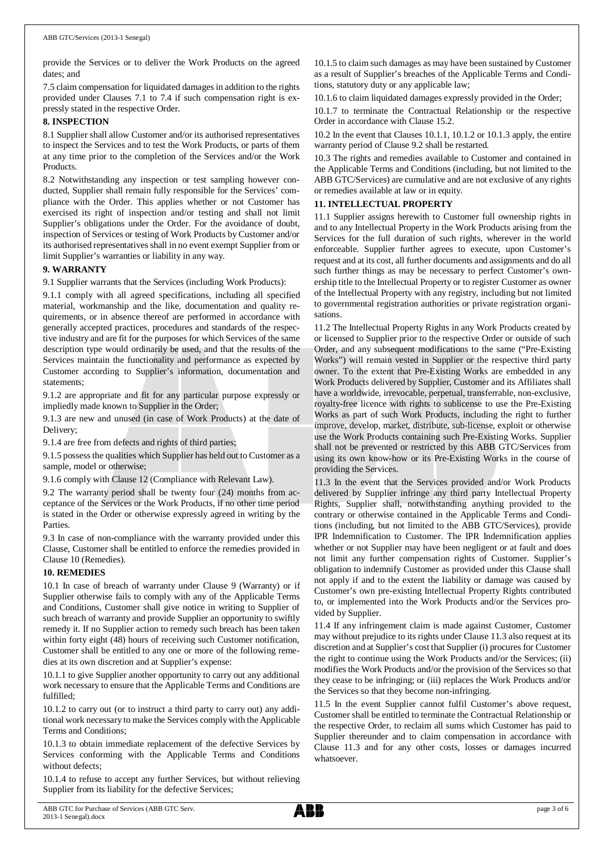provide the Services or to deliver the Work Products on the agreed dates; and

7.5 claim compensation for liquidated damages in addition to the rights provided under Clauses 7.1 to 7.4 if such compensation right is expressly stated in the respective Order.

## **8. INSPECTION**

8.1 Supplier shall allow Customer and/or its authorised representatives to inspect the Services and to test the Work Products, or parts of them at any time prior to the completion of the Services and/or the Work Products.

8.2 Notwithstanding any inspection or test sampling however conducted, Supplier shall remain fully responsible for the Services' compliance with the Order. This applies whether or not Customer has exercised its right of inspection and/or testing and shall not limit Supplier's obligations under the Order. For the avoidance of doubt, inspection of Services or testing of Work Products by Customer and/or its authorised representatives shall in no event exempt Supplier from or limit Supplier's warranties or liability in any way.

## **9. WARRANTY**

9.1 Supplier warrants that the Services (including Work Products):

9.1.1 comply with all agreed specifications, including all specified material, workmanship and the like, documentation and quality requirements, or in absence thereof are performed in accordance with generally accepted practices, procedures and standards of the respective industry and are fit for the purposes for which Services of the same description type would ordinarily be used, and that the results of the Services maintain the functionality and performance as expected by Customer according to Supplier's information, documentation and statements;

9.1.2 are appropriate and fit for any particular purpose expressly or impliedly made known to Supplier in the Order;

9.1.3 are new and unused (in case of Work Products) at the date of Delivery;

9.1.4 are free from defects and rights of third parties;

9.1.5 possess the qualities which Supplier has held out to Customer as a sample, model or otherwise;

9.1.6 comply with Clause 12 (Compliance with Relevant Law).

9.2 The warranty period shall be twenty four (24) months from acceptance of the Services or the Work Products, if no other time period is stated in the Order or otherwise expressly agreed in writing by the Parties.

9.3 In case of non-compliance with the warranty provided under this Clause, Customer shall be entitled to enforce the remedies provided in Clause 10 (Remedies).

## **10. REMEDIES**

10.1 In case of breach of warranty under Clause 9 (Warranty) or if Supplier otherwise fails to comply with any of the Applicable Terms and Conditions, Customer shall give notice in writing to Supplier of such breach of warranty and provide Supplier an opportunity to swiftly remedy it. If no Supplier action to remedy such breach has been taken within forty eight (48) hours of receiving such Customer notification, Customer shall be entitled to any one or more of the following remedies at its own discretion and at Supplier's expense:

10.1.1 to give Supplier another opportunity to carry out any additional work necessary to ensure that the Applicable Terms and Conditions are fulfilled;

10.1.2 to carry out (or to instruct a third party to carry out) any additional work necessary to make the Services comply with the Applicable Terms and Conditions;

10.1.3 to obtain immediate replacement of the defective Services by Services conforming with the Applicable Terms and Conditions without defects;

10.1.4 to refuse to accept any further Services, but without relieving Supplier from its liability for the defective Services;

10.1.5 to claim such damages as may have been sustained by Customer as a result of Supplier's breaches of the Applicable Terms and Conditions, statutory duty or any applicable law;

10.1.6 to claim liquidated damages expressly provided in the Order;

10.1.7 to terminate the Contractual Relationship or the respective Order in accordance with Clause 15.2.

10.2 In the event that Clauses 10.1.1, 10.1.2 or 10.1.3 apply, the entire warranty period of Clause 9.2 shall be restarted.

10.3 The rights and remedies available to Customer and contained in the Applicable Terms and Conditions (including, but not limited to the ABB GTC/Services) are cumulative and are not exclusive of any rights or remedies available at law or in equity.

## **11. INTELLECTUAL PROPERTY**

11.1 Supplier assigns herewith to Customer full ownership rights in and to any Intellectual Property in the Work Products arising from the Services for the full duration of such rights, wherever in the world enforceable. Supplier further agrees to execute, upon Customer's request and at its cost, all further documents and assignments and do all such further things as may be necessary to perfect Customer's ownership title to the Intellectual Property or to register Customer as owner of the Intellectual Property with any registry, including but not limited to governmental registration authorities or private registration organisations.

11.2 The Intellectual Property Rights in any Work Products created by or licensed to Supplier prior to the respective Order or outside of such Order, and any subsequent modifications to the same ("Pre-Existing Works") will remain vested in Supplier or the respective third party owner. To the extent that Pre-Existing Works are embedded in any Work Products delivered by Supplier, Customer and its Affiliates shall have a worldwide, irrevocable, perpetual, transferrable, non-exclusive, royalty-free licence with rights to sublicense to use the Pre-Existing Works as part of such Work Products, including the right to further improve, develop, market, distribute, sub-license, exploit or otherwise use the Work Products containing such Pre-Existing Works. Supplier shall not be prevented or restricted by this ABB GTC/Services from using its own know-how or its Pre-Existing Works in the course of providing the Services.

11.3 In the event that the Services provided and/or Work Products delivered by Supplier infringe any third party Intellectual Property Rights, Supplier shall, notwithstanding anything provided to the contrary or otherwise contained in the Applicable Terms and Conditions (including, but not limited to the ABB GTC/Services), provide IPR Indemnification to Customer. The IPR Indemnification applies whether or not Supplier may have been negligent or at fault and does not limit any further compensation rights of Customer. Supplier's obligation to indemnify Customer as provided under this Clause shall not apply if and to the extent the liability or damage was caused by Customer's own pre-existing Intellectual Property Rights contributed to, or implemented into the Work Products and/or the Services provided by Supplier.

11.4 If any infringement claim is made against Customer, Customer may without prejudice to its rights under Clause 11.3 also request at its discretion and at Supplier's cost that Supplier (i) procures for Customer the right to continue using the Work Products and/or the Services; (ii) modifies the Work Products and/or the provision of the Services so that they cease to be infringing; or (iii) replaces the Work Products and/or the Services so that they become non-infringing.

11.5 In the event Supplier cannot fulfil Customer's above request, Customer shall be entitled to terminate the Contractual Relationship or the respective Order, to reclaim all sums which Customer has paid to Supplier thereunder and to claim compensation in accordance with Clause 11.3 and for any other costs, losses or damages incurred whatsoever.

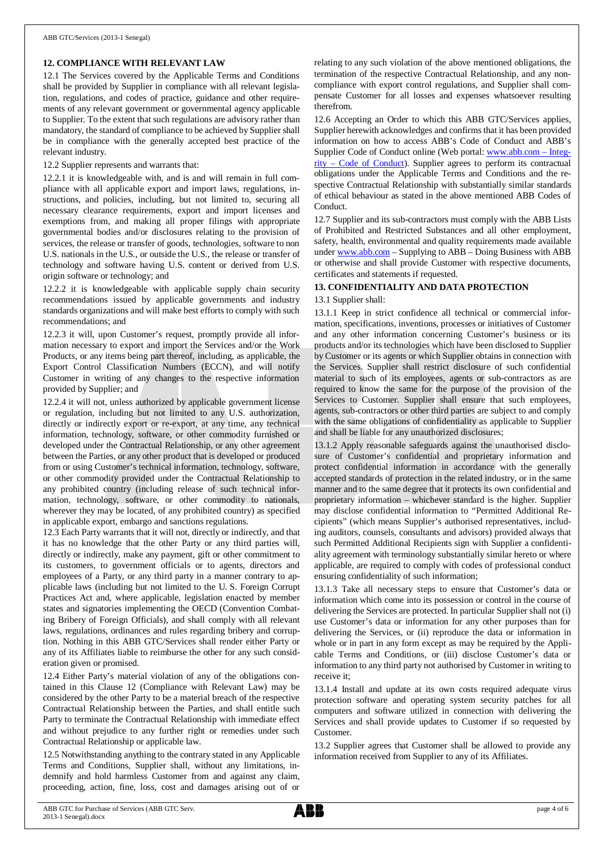## **12. COMPLIANCE WITH RELEVANT LAW**

12.1 The Services covered by the Applicable Terms and Conditions shall be provided by Supplier in compliance with all relevant legislation, regulations, and codes of practice, guidance and other requirements of any relevant government or governmental agency applicable to Supplier. To the extent that such regulations are advisory rather than mandatory, the standard of compliance to be achieved by Supplier shall be in compliance with the generally accepted best practice of the relevant industry.

12.2 Supplier represents and warrants that:

12.2.1 it is knowledgeable with, and is and will remain in full compliance with all applicable export and import laws, regulations, instructions, and policies, including, but not limited to, securing all necessary clearance requirements, export and import licenses and exemptions from, and making all proper filings with appropriate governmental bodies and/or disclosures relating to the provision of services, the release or transfer of goods, technologies, software to non U.S. nationals in the U.S., or outside the U.S., the release or transfer of technology and software having U.S. content or derived from U.S. origin software or technology; and

12.2.2 it is knowledgeable with applicable supply chain security recommendations issued by applicable governments and industry standards organizations and will make best efforts to comply with such recommendations; and

12.2.3 it will, upon Customer's request, promptly provide all information necessary to export and import the Services and/or the Work Products, or any items being part thereof, including, as applicable, the Export Control Classification Numbers (ECCN), and will notify Customer in writing of any changes to the respective information provided by Supplier; and

12.2.4 it will not, unless authorized by applicable government license or regulation, including but not limited to any U.S. authorization, directly or indirectly export or re-export, at any time, any technical information, technology, software, or other commodity furnished or developed under the Contractual Relationship, or any other agreement between the Parties, or any other product that is developed or produced from or using Customer's technical information, technology, software, or other commodity provided under the Contractual Relationship to any prohibited country (including release of such technical information, technology, software, or other commodity to nationals, wherever they may be located, of any prohibited country) as specified in applicable export, embargo and sanctions regulations.

12.3 Each Party warrants that it will not, directly or indirectly, and that it has no knowledge that the other Party or any third parties will, directly or indirectly, make any payment, gift or other commitment to its customers, to government officials or to agents, directors and employees of a Party, or any third party in a manner contrary to applicable laws (including but not limited to the U. S. Foreign Corrupt Practices Act and, where applicable, legislation enacted by member states and signatories implementing the OECD (Convention Combating Bribery of Foreign Officials), and shall comply with all relevant laws, regulations, ordinances and rules regarding bribery and corruption. Nothing in this ABB GTC/Services shall render either Party or any of its Affiliates liable to reimburse the other for any such consideration given or promised.

12.4 Either Party's material violation of any of the obligations contained in this Clause 12 (Compliance with Relevant Law) may be considered by the other Party to be a material breach of the respective Contractual Relationship between the Parties, and shall entitle such Party to terminate the Contractual Relationship with immediate effect and without prejudice to any further right or remedies under such Contractual Relationship or applicable law.

12.5 Notwithstanding anything to the contrary stated in any Applicable Terms and Conditions, Supplier shall, without any limitations, indemnify and hold harmless Customer from and against any claim, proceeding, action, fine, loss, cost and damages arising out of or

relating to any such violation of the above mentioned obligations, the termination of the respective Contractual Relationship, and any noncompliance with export control regulations, and Supplier shall compensate Customer for all losses and expenses whatsoever resulting therefrom.

12.6 Accepting an Order to which this ABB GTC/Services applies, Supplier herewith acknowledges and confirms that it has been provided information on how to access ABB's Code of Conduct and ABB's Supplier Code of Conduct online (Web portal: [www.abb.com](http://www.abb.com/) – Integrity – Code of Conduct). Supplier agrees to perform its contractual obligations under the Applicable Terms and Conditions and the respective Contractual Relationship with substantially similar standards of ethical behaviour as stated in the above mentioned ABB Codes of Conduct.

12.7 Supplier and its sub-contractors must comply with the ABB Lists of Prohibited and Restricted Substances and all other employment, safety, health, environmental and quality requirements made available under [www.abb.com](http://www.abb.com/) – Supplying to ABB – Doing Business with ABB or otherwise and shall provide Customer with respective documents, certificates and statements if requested.

## **13. CONFIDENTIALITY AND DATA PROTECTION**

## 13.1 Supplier shall:

13.1.1 Keep in strict confidence all technical or commercial information, specifications, inventions, processes or initiatives of Customer and any other information concerning Customer's business or its products and/or its technologies which have been disclosed to Supplier by Customer or its agents or which Supplier obtains in connection with the Services. Supplier shall restrict disclosure of such confidential material to such of its employees, agents or sub-contractors as are required to know the same for the purpose of the provision of the Services to Customer. Supplier shall ensure that such employees, agents, sub-contractors or other third parties are subject to and comply with the same obligations of confidentiality as applicable to Supplier and shall be liable for any unauthorized disclosures;

13.1.2 Apply reasonable safeguards against the unauthorised disclosure of Customer's confidential and proprietary information and protect confidential information in accordance with the generally accepted standards of protection in the related industry, or in the same manner and to the same degree that it protects its own confidential and proprietary information – whichever standard is the higher. Supplier may disclose confidential information to "Permitted Additional Recipients" (which means Supplier's authorised representatives, including auditors, counsels, consultants and advisors) provided always that such Permitted Additional Recipients sign with Supplier a confidentiality agreement with terminology substantially similar hereto or where applicable, are required to comply with codes of professional conduct ensuring confidentiality of such information;

13.1.3 Take all necessary steps to ensure that Customer's data or information which come into its possession or control in the course of delivering the Services are protected. In particular Supplier shall not (i) use Customer's data or information for any other purposes than for delivering the Services, or (ii) reproduce the data or information in whole or in part in any form except as may be required by the Applicable Terms and Conditions, or (iii) disclose Customer's data or information to any third party not authorised by Customer in writing to receive it;

13.1.4 Install and update at its own costs required adequate virus protection software and operating system security patches for all computers and software utilized in connection with delivering the Services and shall provide updates to Customer if so requested by Customer.

13.2 Supplier agrees that Customer shall be allowed to provide any information received from Supplier to any of its Affiliates.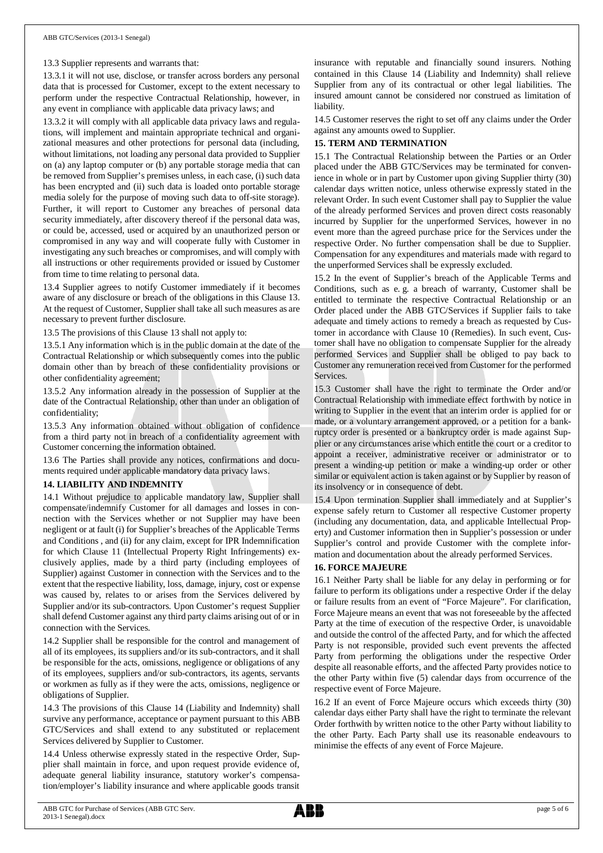#### 13.3 Supplier represents and warrants that:

13.3.1 it will not use, disclose, or transfer across borders any personal data that is processed for Customer, except to the extent necessary to perform under the respective Contractual Relationship, however, in any event in compliance with applicable data privacy laws; and

13.3.2 it will comply with all applicable data privacy laws and regulations, will implement and maintain appropriate technical and organizational measures and other protections for personal data (including, without limitations, not loading any personal data provided to Supplier on (a) any laptop computer or (b) any portable storage media that can be removed from Supplier's premises unless, in each case, (i) such data has been encrypted and (ii) such data is loaded onto portable storage media solely for the purpose of moving such data to off-site storage). Further, it will report to Customer any breaches of personal data security immediately, after discovery thereof if the personal data was, or could be, accessed, used or acquired by an unauthorized person or compromised in any way and will cooperate fully with Customer in investigating any such breaches or compromises, and will comply with all instructions or other requirements provided or issued by Customer from time to time relating to personal data.

13.4 Supplier agrees to notify Customer immediately if it becomes aware of any disclosure or breach of the obligations in this Clause 13. At the request of Customer, Supplier shall take all such measures as are necessary to prevent further disclosure.

13.5 The provisions of this Clause 13 shall not apply to:

13.5.1 Any information which is in the public domain at the date of the Contractual Relationship or which subsequently comes into the public domain other than by breach of these confidentiality provisions or other confidentiality agreement;

13.5.2 Any information already in the possession of Supplier at the date of the Contractual Relationship, other than under an obligation of confidentiality;

13.5.3 Any information obtained without obligation of confidence from a third party not in breach of a confidentiality agreement with Customer concerning the information obtained.

13.6 The Parties shall provide any notices, confirmations and documents required under applicable mandatory data privacy laws.

#### **14. LIABILITY AND INDEMNITY**

14.1 Without prejudice to applicable mandatory law, Supplier shall compensate/indemnify Customer for all damages and losses in connection with the Services whether or not Supplier may have been negligent or at fault (i) for Supplier's breaches of the Applicable Terms and Conditions , and (ii) for any claim, except for IPR Indemnification for which Clause 11 (Intellectual Property Right Infringements) exclusively applies, made by a third party (including employees of Supplier) against Customer in connection with the Services and to the extent that the respective liability, loss, damage, injury, cost or expense was caused by, relates to or arises from the Services delivered by Supplier and/or its sub-contractors. Upon Customer's request Supplier shall defend Customer against any third party claims arising out of or in connection with the Services.

14.2 Supplier shall be responsible for the control and management of all of its employees, its suppliers and/or its sub-contractors, and it shall be responsible for the acts, omissions, negligence or obligations of any of its employees, suppliers and/or sub-contractors, its agents, servants or workmen as fully as if they were the acts, omissions, negligence or obligations of Supplier.

14.3 The provisions of this Clause 14 (Liability and Indemnity) shall survive any performance, acceptance or payment pursuant to this ABB GTC/Services and shall extend to any substituted or replacement Services delivered by Supplier to Customer.

14.4 Unless otherwise expressly stated in the respective Order, Supplier shall maintain in force, and upon request provide evidence of, adequate general liability insurance, statutory worker's compensation/employer's liability insurance and where applicable goods transit

insurance with reputable and financially sound insurers. Nothing contained in this Clause 14 (Liability and Indemnity) shall relieve Supplier from any of its contractual or other legal liabilities. The insured amount cannot be considered nor construed as limitation of liability.

14.5 Customer reserves the right to set off any claims under the Order against any amounts owed to Supplier.

## **15. TERM AND TERMINATION**

15.1 The Contractual Relationship between the Parties or an Order placed under the ABB GTC/Services may be terminated for convenience in whole or in part by Customer upon giving Supplier thirty (30) calendar days written notice, unless otherwise expressly stated in the relevant Order. In such event Customer shall pay to Supplier the value of the already performed Services and proven direct costs reasonably incurred by Supplier for the unperformed Services, however in no event more than the agreed purchase price for the Services under the respective Order. No further compensation shall be due to Supplier. Compensation for any expenditures and materials made with regard to the unperformed Services shall be expressly excluded.

15.2 In the event of Supplier's breach of the Applicable Terms and Conditions, such as e. g. a breach of warranty, Customer shall be entitled to terminate the respective Contractual Relationship or an Order placed under the ABB GTC/Services if Supplier fails to take adequate and timely actions to remedy a breach as requested by Customer in accordance with Clause 10 (Remedies). In such event, Customer shall have no obligation to compensate Supplier for the already performed Services and Supplier shall be obliged to pay back to Customer any remuneration received from Customer for the performed **Services** 

15.3 Customer shall have the right to terminate the Order and/or Contractual Relationship with immediate effect forthwith by notice in writing to Supplier in the event that an interim order is applied for or made, or a voluntary arrangement approved, or a petition for a bankruptcy order is presented or a bankruptcy order is made against Supplier or any circumstances arise which entitle the court or a creditor to appoint a receiver, administrative receiver or administrator or to present a winding-up petition or make a winding-up order or other similar or equivalent action is taken against or by Supplier by reason of its insolvency or in consequence of debt.

15.4 Upon termination Supplier shall immediately and at Supplier's expense safely return to Customer all respective Customer property (including any documentation, data, and applicable Intellectual Property) and Customer information then in Supplier's possession or under Supplier's control and provide Customer with the complete information and documentation about the already performed Services.

#### **16. FORCE MAJEURE**

16.1 Neither Party shall be liable for any delay in performing or for failure to perform its obligations under a respective Order if the delay or failure results from an event of "Force Majeure". For clarification, Force Majeure means an event that was not foreseeable by the affected Party at the time of execution of the respective Order, is unavoidable and outside the control of the affected Party, and for which the affected Party is not responsible, provided such event prevents the affected Party from performing the obligations under the respective Order despite all reasonable efforts, and the affected Party provides notice to the other Party within five (5) calendar days from occurrence of the respective event of Force Majeure.

16.2 If an event of Force Majeure occurs which exceeds thirty (30) calendar days either Party shall have the right to terminate the relevant Order forthwith by written notice to the other Party without liability to the other Party. Each Party shall use its reasonable endeavours to minimise the effects of any event of Force Majeure.